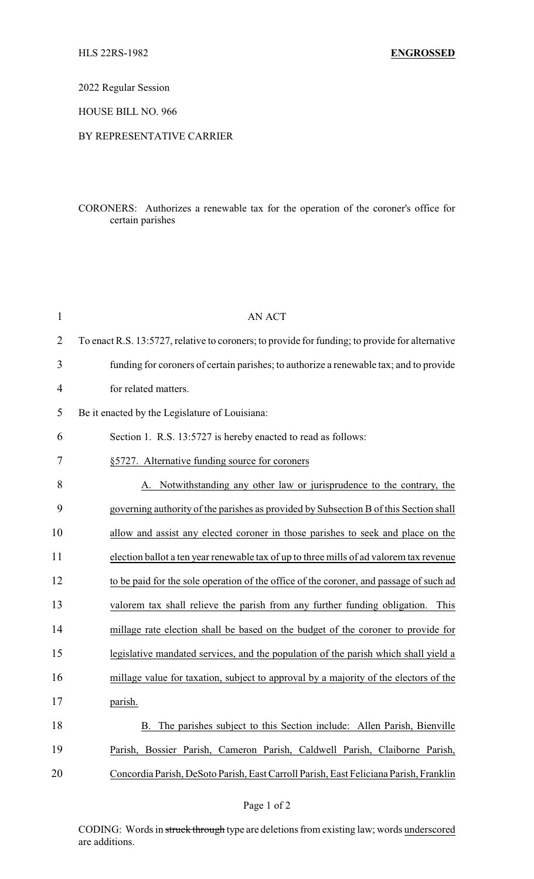2022 Regular Session

HOUSE BILL NO. 966

## BY REPRESENTATIVE CARRIER

## CORONERS: Authorizes a renewable tax for the operation of the coroner's office for certain parishes

| 1              | <b>AN ACT</b>                                                                                   |
|----------------|-------------------------------------------------------------------------------------------------|
| $\overline{2}$ | To enact R.S. 13:5727, relative to coroners; to provide for funding; to provide for alternative |
| 3              | funding for coroners of certain parishes; to authorize a renewable tax; and to provide          |
| 4              | for related matters.                                                                            |
| 5              | Be it enacted by the Legislature of Louisiana:                                                  |
| 6              | Section 1. R.S. 13:5727 is hereby enacted to read as follows:                                   |
| 7              | §5727. Alternative funding source for coroners                                                  |
| 8              | Notwithstanding any other law or jurisprudence to the contrary, the<br>А.                       |
| 9              | governing authority of the parishes as provided by Subsection B of this Section shall           |
| 10             | allow and assist any elected coroner in those parishes to seek and place on the                 |
| 11             | election ballot a ten year renewable tax of up to three mills of ad valorem tax revenue         |
| 12             | to be paid for the sole operation of the office of the coroner, and passage of such ad          |
| 13             | valorem tax shall relieve the parish from any further funding obligation.<br>This               |
| 14             | millage rate election shall be based on the budget of the coroner to provide for                |
| 15             | legislative mandated services, and the population of the parish which shall yield a             |
| 16             | millage value for taxation, subject to approval by a majority of the electors of the            |
| 17             | parish.                                                                                         |
| 18             | The parishes subject to this Section include: Allen Parish, Bienville<br>B.                     |
| 19             | Parish, Bossier Parish, Cameron Parish, Caldwell Parish, Claiborne Parish,                      |
| 20             | Concordia Parish, DeSoto Parish, East Carroll Parish, East Feliciana Parish, Franklin           |

CODING: Words in struck through type are deletions from existing law; words underscored are additions.